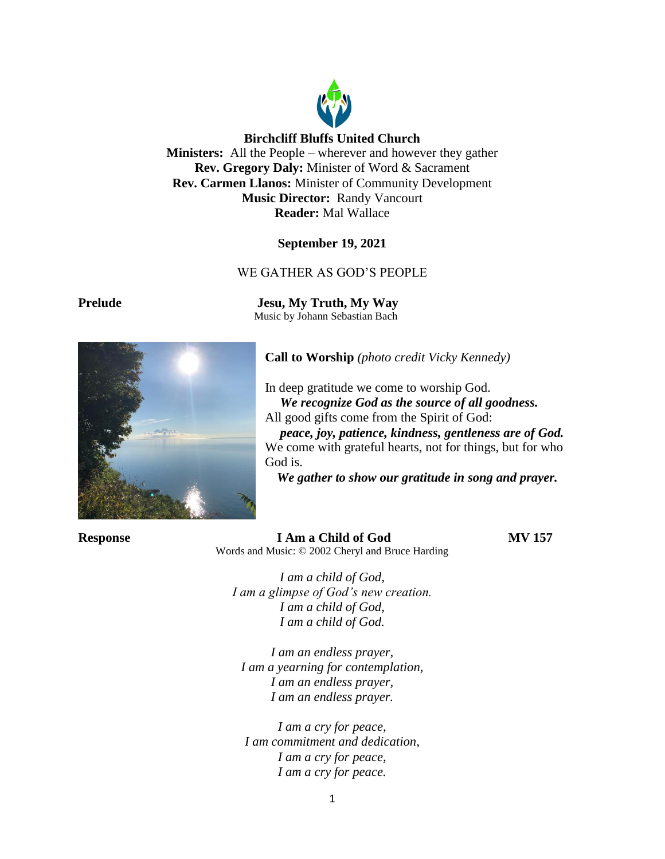

## **Birchcliff Bluffs United Church**

**Ministers:** All the People – wherever and however they gather **Rev. Gregory Daly:** Minister of Word & Sacrament **Rev. Carmen Llanos:** Minister of Community Development **Music Director:** Randy Vancourt **Reader:** Mal Wallace

### **September 19, 2021**

### WE GATHER AS GOD'S PEOPLE

**Prelude Jesu, My Truth, My Way** Music by Johann Sebastian Bach

**Call to Worship** *(photo credit Vicky Kennedy)*

In deep gratitude we come to worship God. *We recognize God as the source of all goodness.* All good gifts come from the Spirit of God:

*peace, joy, patience, kindness, gentleness are of God.* We come with grateful hearts, not for things, but for who God is.

*We gather to show our gratitude in song and prayer.*

**Response I Am a Child of God MV 157** Words and Music: © 2002 Cheryl and Bruce Harding

*I am a child of God, I am a glimpse of God's new creation. I am a child of God, I am a child of God.*

*I am an endless prayer, I am a yearning for contemplation, I am an endless prayer, I am an endless prayer.*

*I am a cry for peace, I am commitment and dedication, I am a cry for peace, I am a cry for peace.*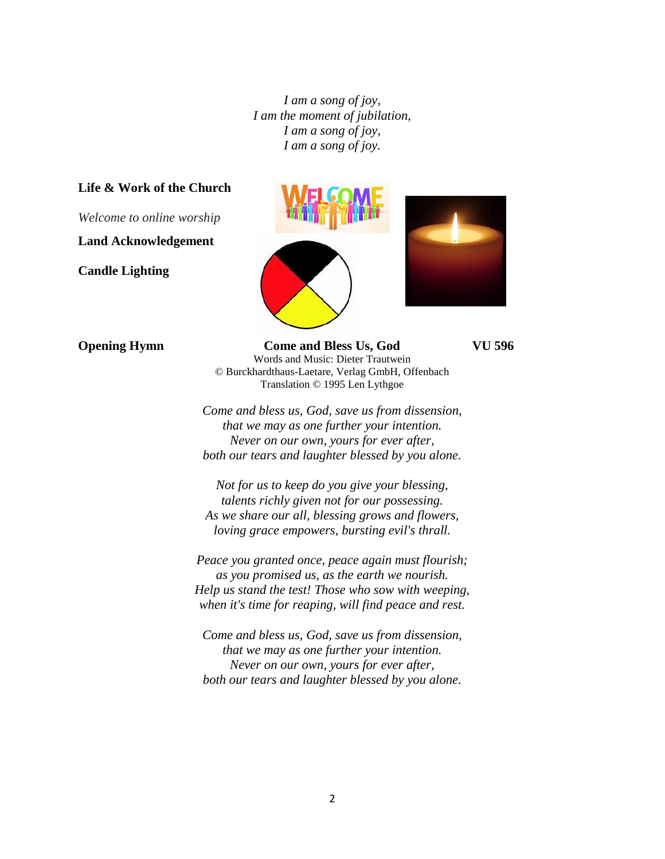*I am a song of joy, I am the moment of jubilation, I am a song of joy, I am a song of joy.*

### **Life & Work of the Church**

*Welcome to online worship*

**Land Acknowledgement**

**Candle Lighting**





**Opening Hymn Come and Bless Us, God VU 596** Words and Music: Dieter Trautwein © Burckhardthaus-Laetare, Verlag GmbH, Offenbach Translation © 1995 Len Lythgoe

*Come and bless us, God, save us from dissension, that we may as one further your intention. Never on our own, yours for ever after, both our tears and laughter blessed by you alone.*

*Not for us to keep do you give your blessing, talents richly given not for our possessing. As we share our all, blessing grows and flowers, loving grace empowers, bursting evil's thrall.*

*Peace you granted once, peace again must flourish; as you promised us, as the earth we nourish. Help us stand the test! Those who sow with weeping, when it's time for reaping, will find peace and rest.*

*Come and bless us, God, save us from dissension, that we may as one further your intention. Never on our own, yours for ever after, both our tears and laughter blessed by you alone.*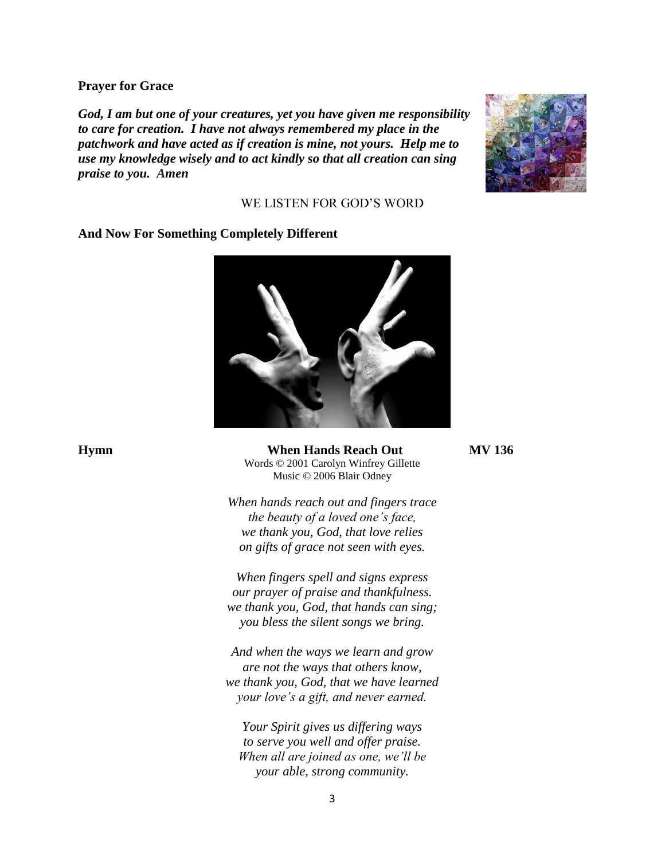#### **Prayer for Grace**

*God, I am but one of your creatures, yet you have given me responsibility to care for creation. I have not always remembered my place in the patchwork and have acted as if creation is mine, not yours. Help me to use my knowledge wisely and to act kindly so that all creation can sing praise to you. Amen*



## WE LISTEN FOR GOD'S WORD

## **And Now For Something Completely Different**



**Hymn When Hands Reach Out MV 136** Words © 2001 Carolyn Winfrey Gillette Music © 2006 Blair Odney

> *When hands reach out and fingers trace the beauty of a loved one's face, we thank you, God, that love relies on gifts of grace not seen with eyes.*

> *When fingers spell and signs express our prayer of praise and thankfulness. we thank you, God, that hands can sing; you bless the silent songs we bring.*

*And when the ways we learn and grow are not the ways that others know, we thank you, God, that we have learned your love's a gift, and never earned.*

*Your Spirit gives us differing ways to serve you well and offer praise. When all are joined as one, we'll be your able, strong community.*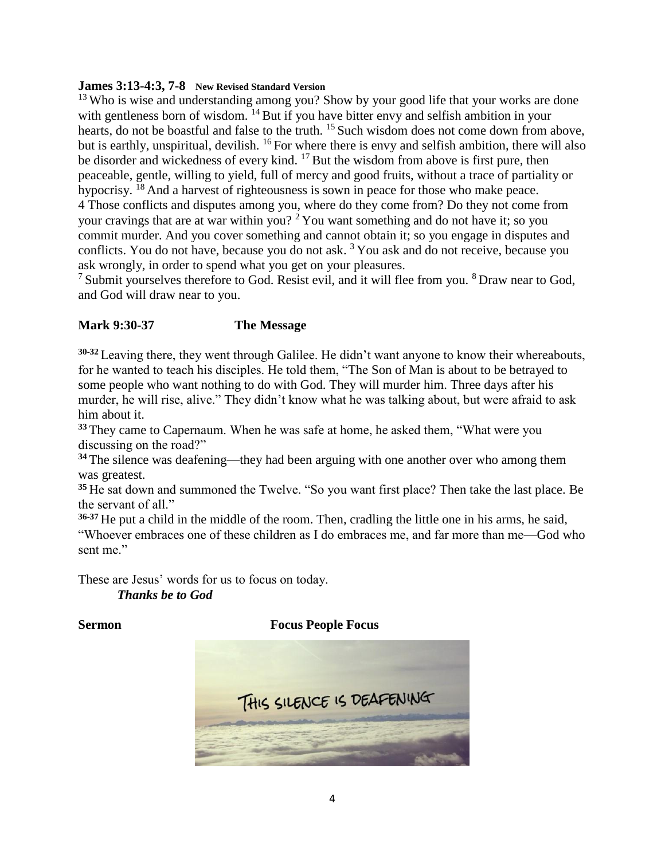### **James 3:13-4:3, 7-8 New Revised Standard Version**

<sup>13</sup> Who is wise and understanding among you? Show by your good life that your works are done with gentleness born of wisdom. <sup>14</sup> But if you have bitter envy and selfish ambition in your hearts, do not be boastful and false to the truth. <sup>15</sup> Such wisdom does not come down from above, but is earthly, unspiritual, devilish. <sup>16</sup> For where there is envy and selfish ambition, there will also be disorder and wickedness of every kind. <sup>17</sup> But the wisdom from above is first pure, then peaceable, gentle, willing to yield, full of mercy and good fruits, without a trace of partiality or hypocrisy. <sup>18</sup> And a harvest of righteousness is sown in peace for those who make peace. 4 Those conflicts and disputes among you, where do they come from? Do they not come from your cravings that are at war within you?  $2$  You want something and do not have it; so you commit murder. And you cover something and cannot obtain it; so you engage in disputes and conflicts. You do not have, because you do not ask.  $3$  You ask and do not receive, because you ask wrongly, in order to spend what you get on your pleasures.

<sup>7</sup> Submit yourselves therefore to God. Resist evil, and it will flee from you. <sup>8</sup> Draw near to God, and God will draw near to you.

# **Mark 9:30-37 The Message**

**30-32** Leaving there, they went through Galilee. He didn't want anyone to know their whereabouts, for he wanted to teach his disciples. He told them, "The Son of Man is about to be betrayed to some people who want nothing to do with God. They will murder him. Three days after his murder, he will rise, alive." They didn't know what he was talking about, but were afraid to ask him about it.

**<sup>33</sup>** They came to Capernaum. When he was safe at home, he asked them, "What were you discussing on the road?"

**<sup>34</sup>** The silence was deafening—they had been arguing with one another over who among them was greatest.

**<sup>35</sup>** He sat down and summoned the Twelve. "So you want first place? Then take the last place. Be the servant of all."

**36-37** He put a child in the middle of the room. Then, cradling the little one in his arms, he said, "Whoever embraces one of these children as I do embraces me, and far more than me—God who sent me."

These are Jesus' words for us to focus on today. *Thanks be to God*

## **Sermon Focus People Focus**

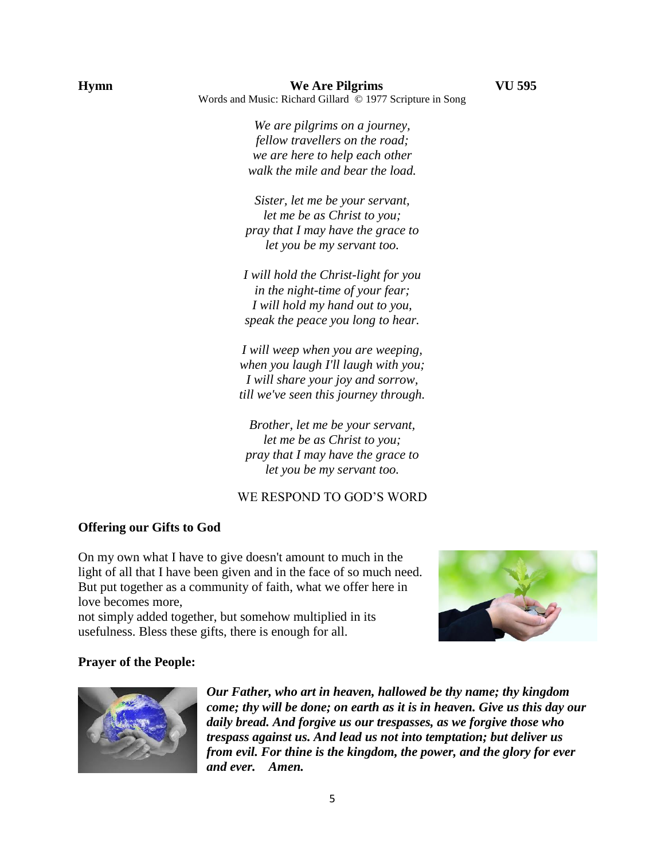*We are pilgrims on a journey, fellow travellers on the road; we are here to help each other walk the mile and bear the load.*

*Sister, let me be your servant, let me be as Christ to you; pray that I may have the grace to let you be my servant too.*

*I will hold the Christ-light for you in the night-time of your fear; I will hold my hand out to you, speak the peace you long to hear.*

*I will weep when you are weeping, when you laugh I'll laugh with you; I will share your joy and sorrow, till we've seen this journey through.*

*Brother, let me be your servant, let me be as Christ to you; pray that I may have the grace to let you be my servant too.*

## WE RESPOND TO GOD'S WORD

#### **Offering our Gifts to God**

On my own what I have to give doesn't amount to much in the light of all that I have been given and in the face of so much need. But put together as a community of faith, what we offer here in love becomes more,

not simply added together, but somehow multiplied in its usefulness. Bless these gifts, there is enough for all.



#### **Prayer of the People:**



*Our Father, who art in heaven, hallowed be thy name; thy kingdom come; thy will be done; on earth as it is in heaven. Give us this day our daily bread. And forgive us our trespasses, as we forgive those who trespass against us. And lead us not into temptation; but deliver us from evil. For thine is the kingdom, the power, and the glory for ever and ever. Amen.*

5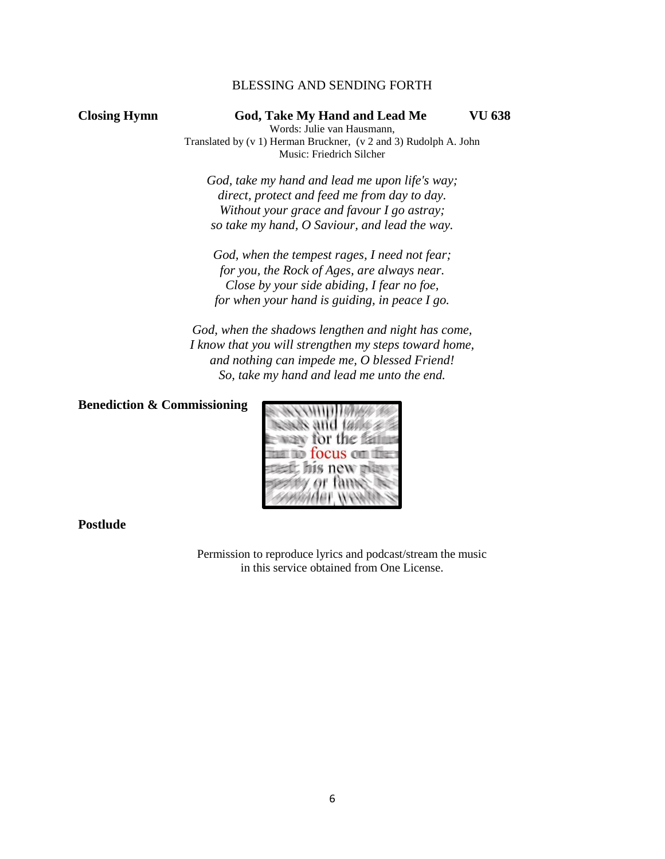## BLESSING AND SENDING FORTH

### **Closing Hymn God, Take My Hand and Lead Me VU 638**

Words: Julie van Hausmann, Translated by (v 1) Herman Bruckner, (v 2 and 3) Rudolph A. John Music: Friedrich Silcher

*God, take my hand and lead me upon life's way; direct, protect and feed me from day to day. Without your grace and favour I go astray; so take my hand, O Saviour, and lead the way.*

*God, when the tempest rages, I need not fear; for you, the Rock of Ages, are always near. Close by your side abiding, I fear no foe, for when your hand is guiding, in peace I go.*

*God, when the shadows lengthen and night has come, I know that you will strengthen my steps toward home, and nothing can impede me, O blessed Friend! So, take my hand and lead me unto the end.*

### **Benediction & Commissioning**



**Postlude** 

Permission to reproduce lyrics and podcast/stream the music in this service obtained from One License.